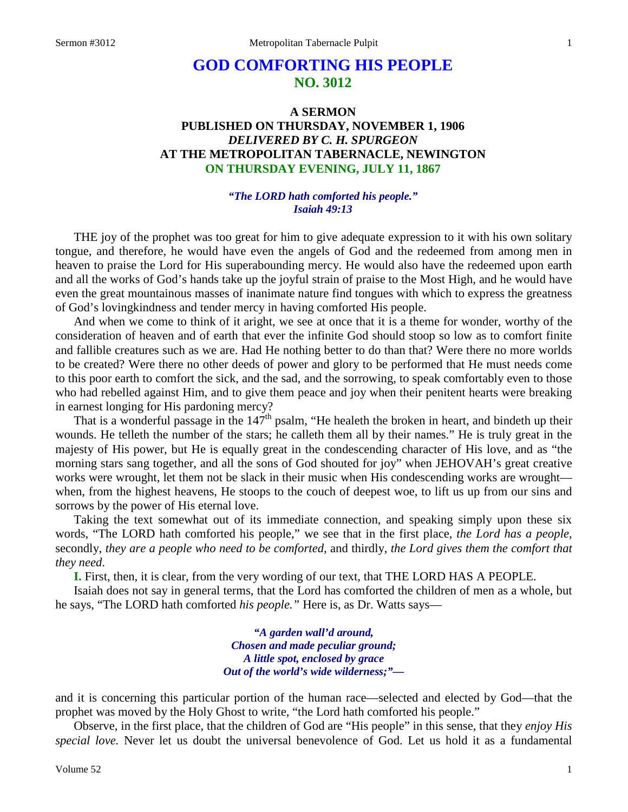# **GOD COMFORTING HIS PEOPLE NO. 3012**

# **A SERMON PUBLISHED ON THURSDAY, NOVEMBER 1, 1906** *DELIVERED BY C. H. SPURGEON* **AT THE METROPOLITAN TABERNACLE, NEWINGTON ON THURSDAY EVENING, JULY 11, 1867**

## *"The LORD hath comforted his people." Isaiah 49:13*

THE joy of the prophet was too great for him to give adequate expression to it with his own solitary tongue, and therefore, he would have even the angels of God and the redeemed from among men in heaven to praise the Lord for His superabounding mercy. He would also have the redeemed upon earth and all the works of God's hands take up the joyful strain of praise to the Most High, and he would have even the great mountainous masses of inanimate nature find tongues with which to express the greatness of God's lovingkindness and tender mercy in having comforted His people.

And when we come to think of it aright, we see at once that it is a theme for wonder, worthy of the consideration of heaven and of earth that ever the infinite God should stoop so low as to comfort finite and fallible creatures such as we are. Had He nothing better to do than that? Were there no more worlds to be created? Were there no other deeds of power and glory to be performed that He must needs come to this poor earth to comfort the sick, and the sad, and the sorrowing, to speak comfortably even to those who had rebelled against Him, and to give them peace and joy when their penitent hearts were breaking in earnest longing for His pardoning mercy?

That is a wonderful passage in the  $147<sup>th</sup>$  psalm, "He healeth the broken in heart, and bindeth up their wounds. He telleth the number of the stars; he calleth them all by their names." He is truly great in the majesty of His power, but He is equally great in the condescending character of His love, and as "the morning stars sang together, and all the sons of God shouted for joy" when JEHOVAH's great creative works were wrought, let them not be slack in their music when His condescending works are wrought when, from the highest heavens, He stoops to the couch of deepest woe, to lift us up from our sins and sorrows by the power of His eternal love.

Taking the text somewhat out of its immediate connection, and speaking simply upon these six words, "The LORD hath comforted his people," we see that in the first place, *the Lord has a people,* secondly, *they are a people who need to be comforted,* and thirdly, *the Lord gives them the comfort that they need*.

**I.** First, then, it is clear, from the very wording of our text, that THE LORD HAS A PEOPLE.

Isaiah does not say in general terms, that the Lord has comforted the children of men as a whole, but he says, "The LORD hath comforted *his people."* Here is, as Dr. Watts says—

> *"A garden wall'd around, Chosen and made peculiar ground; A little spot, enclosed by grace Out of the world's wide wilderness;"—*

and it is concerning this particular portion of the human race—selected and elected by God—that the prophet was moved by the Holy Ghost to write, "the Lord hath comforted his people."

Observe, in the first place, that the children of God are "His people" in this sense, that they *enjoy His special love.* Never let us doubt the universal benevolence of God. Let us hold it as a fundamental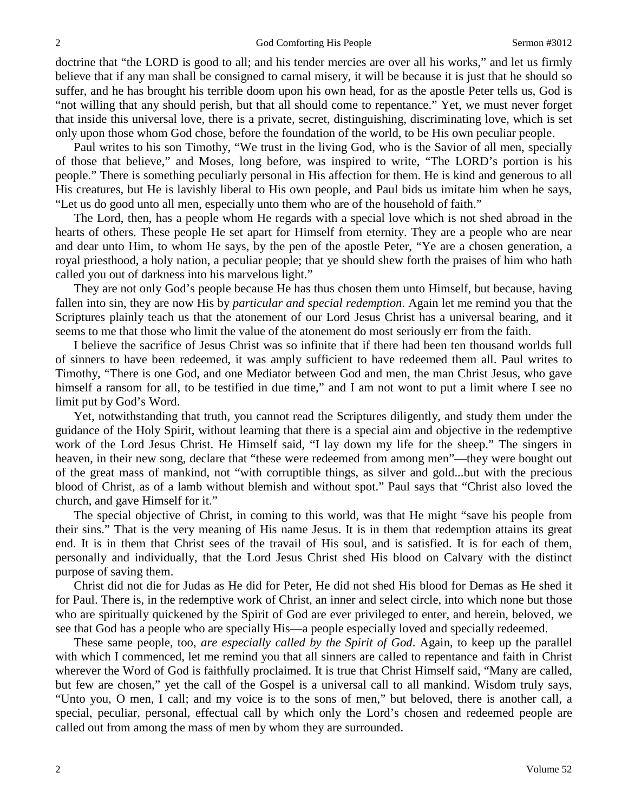doctrine that "the LORD is good to all; and his tender mercies are over all his works," and let us firmly believe that if any man shall be consigned to carnal misery, it will be because it is just that he should so suffer, and he has brought his terrible doom upon his own head, for as the apostle Peter tells us, God is "not willing that any should perish, but that all should come to repentance." Yet, we must never forget that inside this universal love, there is a private, secret, distinguishing, discriminating love, which is set only upon those whom God chose, before the foundation of the world, to be His own peculiar people.

Paul writes to his son Timothy, "We trust in the living God, who is the Savior of all men, specially of those that believe," and Moses, long before, was inspired to write, "The LORD's portion is his people." There is something peculiarly personal in His affection for them. He is kind and generous to all His creatures, but He is lavishly liberal to His own people, and Paul bids us imitate him when he says, "Let us do good unto all men, especially unto them who are of the household of faith."

The Lord, then, has a people whom He regards with a special love which is not shed abroad in the hearts of others. These people He set apart for Himself from eternity. They are a people who are near and dear unto Him, to whom He says, by the pen of the apostle Peter, "Ye are a chosen generation, a royal priesthood, a holy nation, a peculiar people; that ye should shew forth the praises of him who hath called you out of darkness into his marvelous light."

They are not only God's people because He has thus chosen them unto Himself, but because, having fallen into sin, they are now His by *particular and special redemption*. Again let me remind you that the Scriptures plainly teach us that the atonement of our Lord Jesus Christ has a universal bearing, and it seems to me that those who limit the value of the atonement do most seriously err from the faith.

I believe the sacrifice of Jesus Christ was so infinite that if there had been ten thousand worlds full of sinners to have been redeemed, it was amply sufficient to have redeemed them all. Paul writes to Timothy, "There is one God, and one Mediator between God and men, the man Christ Jesus, who gave himself a ransom for all, to be testified in due time," and I am not wont to put a limit where I see no limit put by God's Word.

Yet, notwithstanding that truth, you cannot read the Scriptures diligently, and study them under the guidance of the Holy Spirit, without learning that there is a special aim and objective in the redemptive work of the Lord Jesus Christ. He Himself said, "I lay down my life for the sheep." The singers in heaven, in their new song, declare that "these were redeemed from among men"—they were bought out of the great mass of mankind, not "with corruptible things, as silver and gold...but with the precious blood of Christ, as of a lamb without blemish and without spot." Paul says that "Christ also loved the church, and gave Himself for it."

The special objective of Christ, in coming to this world, was that He might "save his people from their sins." That is the very meaning of His name Jesus. It is in them that redemption attains its great end. It is in them that Christ sees of the travail of His soul, and is satisfied. It is for each of them, personally and individually, that the Lord Jesus Christ shed His blood on Calvary with the distinct purpose of saving them.

Christ did not die for Judas as He did for Peter, He did not shed His blood for Demas as He shed it for Paul. There is, in the redemptive work of Christ, an inner and select circle, into which none but those who are spiritually quickened by the Spirit of God are ever privileged to enter, and herein, beloved, we see that God has a people who are specially His—a people especially loved and specially redeemed.

These same people, too, *are especially called by the Spirit of God*. Again, to keep up the parallel with which I commenced, let me remind you that all sinners are called to repentance and faith in Christ wherever the Word of God is faithfully proclaimed. It is true that Christ Himself said, "Many are called, but few are chosen," yet the call of the Gospel is a universal call to all mankind. Wisdom truly says, "Unto you, O men, I call; and my voice is to the sons of men," but beloved, there is another call, a special, peculiar, personal, effectual call by which only the Lord's chosen and redeemed people are called out from among the mass of men by whom they are surrounded.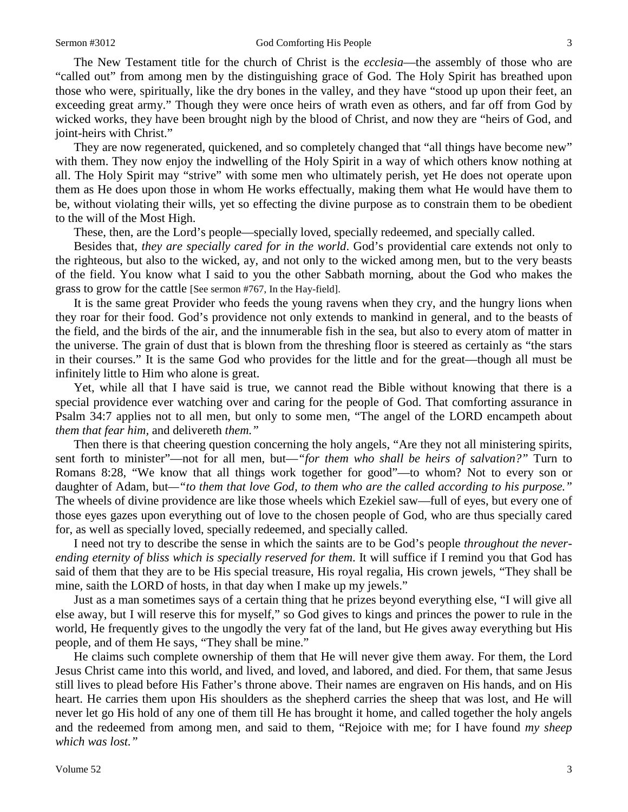#### Sermon #3012 God Comforting His People 3

The New Testament title for the church of Christ is the *ecclesia*—the assembly of those who are "called out" from among men by the distinguishing grace of God. The Holy Spirit has breathed upon those who were, spiritually, like the dry bones in the valley, and they have "stood up upon their feet, an exceeding great army." Though they were once heirs of wrath even as others, and far off from God by wicked works, they have been brought nigh by the blood of Christ, and now they are "heirs of God, and joint-heirs with Christ."

They are now regenerated, quickened, and so completely changed that "all things have become new" with them. They now enjoy the indwelling of the Holy Spirit in a way of which others know nothing at all. The Holy Spirit may "strive" with some men who ultimately perish, yet He does not operate upon them as He does upon those in whom He works effectually, making them what He would have them to be, without violating their wills, yet so effecting the divine purpose as to constrain them to be obedient to the will of the Most High.

These, then, are the Lord's people—specially loved, specially redeemed, and specially called.

Besides that, *they are specially cared for in the world*. God's providential care extends not only to the righteous, but also to the wicked, ay, and not only to the wicked among men, but to the very beasts of the field. You know what I said to you the other Sabbath morning, about the God who makes the grass to grow for the cattle [See sermon #767, In the Hay-field].

It is the same great Provider who feeds the young ravens when they cry, and the hungry lions when they roar for their food. God's providence not only extends to mankind in general, and to the beasts of the field, and the birds of the air, and the innumerable fish in the sea, but also to every atom of matter in the universe. The grain of dust that is blown from the threshing floor is steered as certainly as "the stars in their courses." It is the same God who provides for the little and for the great—though all must be infinitely little to Him who alone is great.

Yet, while all that I have said is true, we cannot read the Bible without knowing that there is a special providence ever watching over and caring for the people of God. That comforting assurance in Psalm 34:7 applies not to all men, but only to some men, "The angel of the LORD encampeth about *them that fear him,* and delivereth *them."*

Then there is that cheering question concerning the holy angels, "Are they not all ministering spirits, sent forth to minister"—not for all men, but—*"for them who shall be heirs of salvation?"* Turn to Romans 8:28, "We know that all things work together for good"—to whom? Not to every son or daughter of Adam, but*—"to them that love God, to them who are the called according to his purpose."* The wheels of divine providence are like those wheels which Ezekiel saw—full of eyes, but every one of those eyes gazes upon everything out of love to the chosen people of God, who are thus specially cared for, as well as specially loved, specially redeemed, and specially called.

I need not try to describe the sense in which the saints are to be God's people *throughout the neverending eternity of bliss which is specially reserved for them*. It will suffice if I remind you that God has said of them that they are to be His special treasure, His royal regalia, His crown jewels, "They shall be mine, saith the LORD of hosts, in that day when I make up my jewels."

Just as a man sometimes says of a certain thing that he prizes beyond everything else, "I will give all else away, but I will reserve this for myself," so God gives to kings and princes the power to rule in the world, He frequently gives to the ungodly the very fat of the land, but He gives away everything but His people, and of them He says, "They shall be mine."

He claims such complete ownership of them that He will never give them away. For them, the Lord Jesus Christ came into this world, and lived, and loved, and labored, and died. For them, that same Jesus still lives to plead before His Father's throne above. Their names are engraven on His hands, and on His heart. He carries them upon His shoulders as the shepherd carries the sheep that was lost, and He will never let go His hold of any one of them till He has brought it home, and called together the holy angels and the redeemed from among men, and said to them, "Rejoice with me; for I have found *my sheep which was lost."*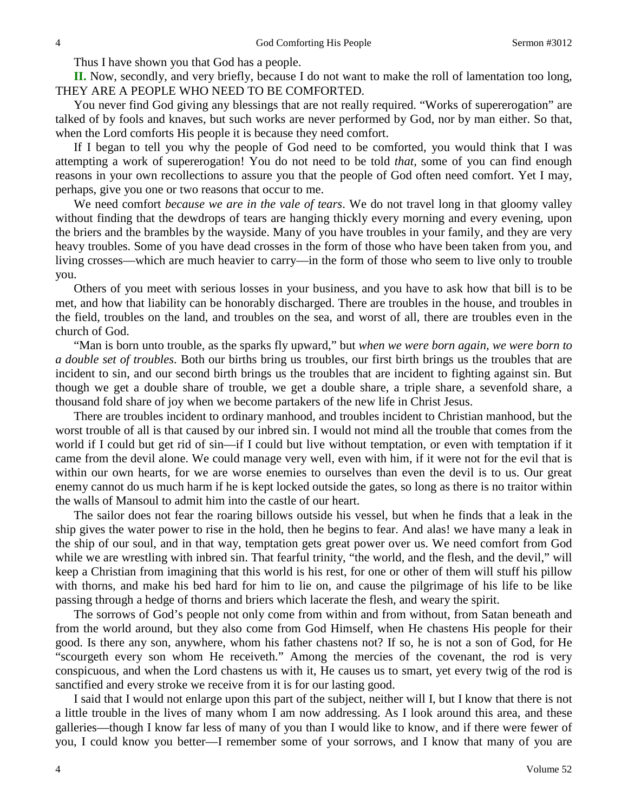Thus I have shown you that God has a people.

**II.** Now, secondly, and very briefly, because I do not want to make the roll of lamentation too long, THEY ARE A PEOPLE WHO NEED TO BE COMFORTED.

You never find God giving any blessings that are not really required. "Works of supererogation" are talked of by fools and knaves, but such works are never performed by God, nor by man either. So that, when the Lord comforts His people it is because they need comfort.

If I began to tell you why the people of God need to be comforted, you would think that I was attempting a work of supererogation! You do not need to be told *that,* some of you can find enough reasons in your own recollections to assure you that the people of God often need comfort. Yet I may, perhaps, give you one or two reasons that occur to me.

We need comfort *because we are in the vale of tears*. We do not travel long in that gloomy valley without finding that the dewdrops of tears are hanging thickly every morning and every evening, upon the briers and the brambles by the wayside. Many of you have troubles in your family, and they are very heavy troubles. Some of you have dead crosses in the form of those who have been taken from you, and living crosses—which are much heavier to carry—in the form of those who seem to live only to trouble you.

Others of you meet with serious losses in your business, and you have to ask how that bill is to be met, and how that liability can be honorably discharged. There are troubles in the house, and troubles in the field, troubles on the land, and troubles on the sea, and worst of all, there are troubles even in the church of God.

"Man is born unto trouble, as the sparks fly upward," but *when we were born again, we were born to a double set of troubles*. Both our births bring us troubles, our first birth brings us the troubles that are incident to sin, and our second birth brings us the troubles that are incident to fighting against sin. But though we get a double share of trouble, we get a double share, a triple share, a sevenfold share, a thousand fold share of joy when we become partakers of the new life in Christ Jesus.

There are troubles incident to ordinary manhood, and troubles incident to Christian manhood, but the worst trouble of all is that caused by our inbred sin. I would not mind all the trouble that comes from the world if I could but get rid of sin—if I could but live without temptation, or even with temptation if it came from the devil alone. We could manage very well, even with him, if it were not for the evil that is within our own hearts, for we are worse enemies to ourselves than even the devil is to us. Our great enemy cannot do us much harm if he is kept locked outside the gates, so long as there is no traitor within the walls of Mansoul to admit him into the castle of our heart.

The sailor does not fear the roaring billows outside his vessel, but when he finds that a leak in the ship gives the water power to rise in the hold, then he begins to fear. And alas! we have many a leak in the ship of our soul, and in that way, temptation gets great power over us. We need comfort from God while we are wrestling with inbred sin. That fearful trinity, "the world, and the flesh, and the devil," will keep a Christian from imagining that this world is his rest, for one or other of them will stuff his pillow with thorns, and make his bed hard for him to lie on, and cause the pilgrimage of his life to be like passing through a hedge of thorns and briers which lacerate the flesh, and weary the spirit.

The sorrows of God's people not only come from within and from without, from Satan beneath and from the world around, but they also come from God Himself, when He chastens His people for their good. Is there any son, anywhere, whom his father chastens not? If so, he is not a son of God, for He "scourgeth every son whom He receiveth." Among the mercies of the covenant, the rod is very conspicuous, and when the Lord chastens us with it, He causes us to smart, yet every twig of the rod is sanctified and every stroke we receive from it is for our lasting good.

I said that I would not enlarge upon this part of the subject, neither will I, but I know that there is not a little trouble in the lives of many whom I am now addressing. As I look around this area, and these galleries—though I know far less of many of you than I would like to know, and if there were fewer of you, I could know you better—I remember some of your sorrows, and I know that many of you are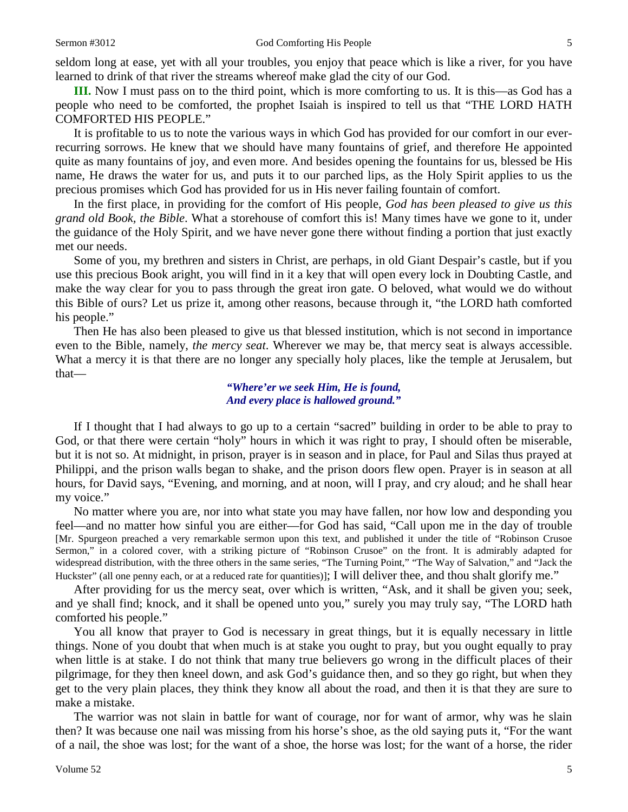seldom long at ease, yet with all your troubles, you enjoy that peace which is like a river, for you have learned to drink of that river the streams whereof make glad the city of our God.

**III.** Now I must pass on to the third point, which is more comforting to us. It is this—as God has a people who need to be comforted, the prophet Isaiah is inspired to tell us that "THE LORD HATH COMFORTED HIS PEOPLE."

It is profitable to us to note the various ways in which God has provided for our comfort in our everrecurring sorrows. He knew that we should have many fountains of grief, and therefore He appointed quite as many fountains of joy, and even more. And besides opening the fountains for us, blessed be His name, He draws the water for us, and puts it to our parched lips, as the Holy Spirit applies to us the precious promises which God has provided for us in His never failing fountain of comfort.

In the first place, in providing for the comfort of His people, *God has been pleased to give us this grand old Book, the Bible*. What a storehouse of comfort this is! Many times have we gone to it, under the guidance of the Holy Spirit, and we have never gone there without finding a portion that just exactly met our needs.

Some of you, my brethren and sisters in Christ, are perhaps, in old Giant Despair's castle, but if you use this precious Book aright, you will find in it a key that will open every lock in Doubting Castle, and make the way clear for you to pass through the great iron gate. O beloved, what would we do without this Bible of ours? Let us prize it, among other reasons, because through it, "the LORD hath comforted his people."

Then He has also been pleased to give us that blessed institution, which is not second in importance even to the Bible, namely, *the mercy seat*. Wherever we may be, that mercy seat is always accessible. What a mercy it is that there are no longer any specially holy places, like the temple at Jerusalem, but that—

# *"Where'er we seek Him, He is found, And every place is hallowed ground."*

If I thought that I had always to go up to a certain "sacred" building in order to be able to pray to God, or that there were certain "holy" hours in which it was right to pray, I should often be miserable, but it is not so. At midnight, in prison, prayer is in season and in place, for Paul and Silas thus prayed at Philippi, and the prison walls began to shake, and the prison doors flew open. Prayer is in season at all hours, for David says, "Evening, and morning, and at noon, will I pray, and cry aloud; and he shall hear my voice."

No matter where you are, nor into what state you may have fallen, nor how low and desponding you feel—and no matter how sinful you are either—for God has said, "Call upon me in the day of trouble [Mr. Spurgeon preached a very remarkable sermon upon this text, and published it under the title of "Robinson Crusoe Sermon," in a colored cover, with a striking picture of "Robinson Crusoe" on the front. It is admirably adapted for widespread distribution, with the three others in the same series, "The Turning Point," "The Way of Salvation," and "Jack the Huckster" (all one penny each, or at a reduced rate for quantities)]; I will deliver thee, and thou shalt glorify me."

After providing for us the mercy seat, over which is written, "Ask, and it shall be given you; seek, and ye shall find; knock, and it shall be opened unto you," surely you may truly say, "The LORD hath comforted his people."

You all know that prayer to God is necessary in great things, but it is equally necessary in little things. None of you doubt that when much is at stake you ought to pray, but you ought equally to pray when little is at stake. I do not think that many true believers go wrong in the difficult places of their pilgrimage, for they then kneel down, and ask God's guidance then, and so they go right, but when they get to the very plain places, they think they know all about the road, and then it is that they are sure to make a mistake.

The warrior was not slain in battle for want of courage, nor for want of armor, why was he slain then? It was because one nail was missing from his horse's shoe, as the old saying puts it, "For the want of a nail, the shoe was lost; for the want of a shoe, the horse was lost; for the want of a horse, the rider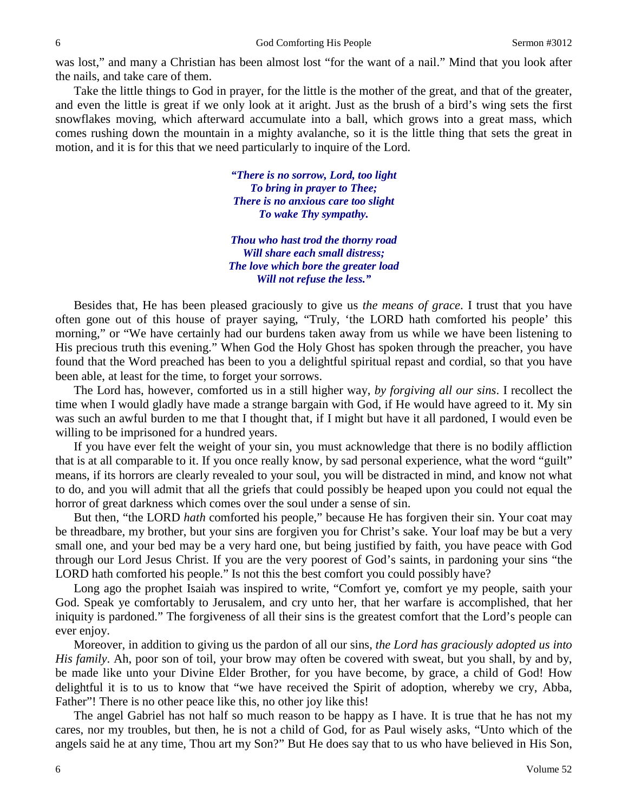was lost," and many a Christian has been almost lost "for the want of a nail." Mind that you look after the nails, and take care of them.

Take the little things to God in prayer, for the little is the mother of the great, and that of the greater, and even the little is great if we only look at it aright. Just as the brush of a bird's wing sets the first snowflakes moving, which afterward accumulate into a ball, which grows into a great mass, which comes rushing down the mountain in a mighty avalanche, so it is the little thing that sets the great in motion, and it is for this that we need particularly to inquire of the Lord.

> *"There is no sorrow, Lord, too light To bring in prayer to Thee; There is no anxious care too slight To wake Thy sympathy.*

*Thou who hast trod the thorny road Will share each small distress; The love which bore the greater load Will not refuse the less."*

Besides that, He has been pleased graciously to give us *the means of grace*. I trust that you have often gone out of this house of prayer saying, "Truly, 'the LORD hath comforted his people' this morning," or "We have certainly had our burdens taken away from us while we have been listening to His precious truth this evening." When God the Holy Ghost has spoken through the preacher, you have found that the Word preached has been to you a delightful spiritual repast and cordial, so that you have been able, at least for the time, to forget your sorrows.

The Lord has, however, comforted us in a still higher way, *by forgiving all our sins*. I recollect the time when I would gladly have made a strange bargain with God, if He would have agreed to it. My sin was such an awful burden to me that I thought that, if I might but have it all pardoned, I would even be willing to be imprisoned for a hundred years.

If you have ever felt the weight of your sin, you must acknowledge that there is no bodily affliction that is at all comparable to it. If you once really know, by sad personal experience, what the word "guilt" means, if its horrors are clearly revealed to your soul, you will be distracted in mind, and know not what to do, and you will admit that all the griefs that could possibly be heaped upon you could not equal the horror of great darkness which comes over the soul under a sense of sin.

But then, "the LORD *hath* comforted his people," because He has forgiven their sin. Your coat may be threadbare, my brother, but your sins are forgiven you for Christ's sake. Your loaf may be but a very small one, and your bed may be a very hard one, but being justified by faith, you have peace with God through our Lord Jesus Christ. If you are the very poorest of God's saints, in pardoning your sins "the LORD hath comforted his people." Is not this the best comfort you could possibly have?

Long ago the prophet Isaiah was inspired to write, "Comfort ye, comfort ye my people, saith your God. Speak ye comfortably to Jerusalem, and cry unto her, that her warfare is accomplished, that her iniquity is pardoned." The forgiveness of all their sins is the greatest comfort that the Lord's people can ever enjoy.

Moreover, in addition to giving us the pardon of all our sins, *the Lord has graciously adopted us into His family*. Ah, poor son of toil, your brow may often be covered with sweat, but you shall, by and by, be made like unto your Divine Elder Brother, for you have become, by grace, a child of God! How delightful it is to us to know that "we have received the Spirit of adoption, whereby we cry, Abba, Father"! There is no other peace like this, no other joy like this!

The angel Gabriel has not half so much reason to be happy as I have. It is true that he has not my cares, nor my troubles, but then, he is not a child of God, for as Paul wisely asks, "Unto which of the angels said he at any time, Thou art my Son?" But He does say that to us who have believed in His Son,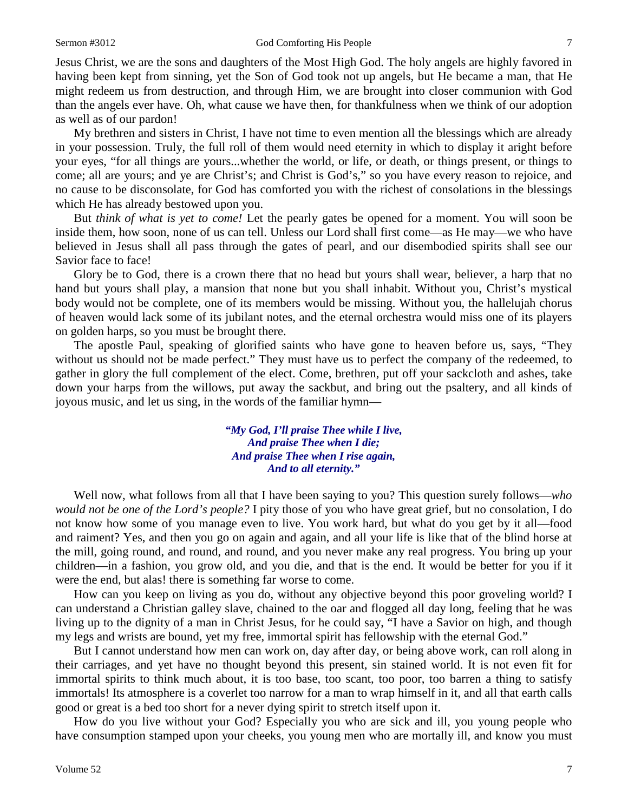#### Sermon #3012 God Comforting His People 7

Jesus Christ, we are the sons and daughters of the Most High God. The holy angels are highly favored in having been kept from sinning, yet the Son of God took not up angels, but He became a man, that He might redeem us from destruction, and through Him, we are brought into closer communion with God than the angels ever have. Oh, what cause we have then, for thankfulness when we think of our adoption as well as of our pardon!

My brethren and sisters in Christ, I have not time to even mention all the blessings which are already in your possession. Truly, the full roll of them would need eternity in which to display it aright before your eyes, "for all things are yours...whether the world, or life, or death, or things present, or things to come; all are yours; and ye are Christ's; and Christ is God's," so you have every reason to rejoice, and no cause to be disconsolate, for God has comforted you with the richest of consolations in the blessings which He has already bestowed upon you.

But *think of what is yet to come!* Let the pearly gates be opened for a moment. You will soon be inside them, how soon, none of us can tell. Unless our Lord shall first come—as He may—we who have believed in Jesus shall all pass through the gates of pearl, and our disembodied spirits shall see our Savior face to face!

Glory be to God, there is a crown there that no head but yours shall wear, believer, a harp that no hand but yours shall play, a mansion that none but you shall inhabit. Without you, Christ's mystical body would not be complete, one of its members would be missing. Without you, the hallelujah chorus of heaven would lack some of its jubilant notes, and the eternal orchestra would miss one of its players on golden harps, so you must be brought there.

The apostle Paul, speaking of glorified saints who have gone to heaven before us, says, "They without us should not be made perfect." They must have us to perfect the company of the redeemed, to gather in glory the full complement of the elect. Come, brethren, put off your sackcloth and ashes, take down your harps from the willows, put away the sackbut, and bring out the psaltery, and all kinds of joyous music, and let us sing, in the words of the familiar hymn—

> *"My God, I'll praise Thee while I live, And praise Thee when I die; And praise Thee when I rise again, And to all eternity."*

Well now, what follows from all that I have been saying to you? This question surely follows—*who would not be one of the Lord's people?* I pity those of you who have great grief, but no consolation, I do not know how some of you manage even to live. You work hard, but what do you get by it all—food and raiment? Yes, and then you go on again and again, and all your life is like that of the blind horse at the mill, going round, and round, and round, and you never make any real progress. You bring up your children—in a fashion, you grow old, and you die, and that is the end. It would be better for you if it were the end, but alas! there is something far worse to come.

How can you keep on living as you do, without any objective beyond this poor groveling world? I can understand a Christian galley slave, chained to the oar and flogged all day long, feeling that he was living up to the dignity of a man in Christ Jesus, for he could say, "I have a Savior on high, and though my legs and wrists are bound, yet my free, immortal spirit has fellowship with the eternal God."

But I cannot understand how men can work on, day after day, or being above work, can roll along in their carriages, and yet have no thought beyond this present, sin stained world. It is not even fit for immortal spirits to think much about, it is too base, too scant, too poor, too barren a thing to satisfy immortals! Its atmosphere is a coverlet too narrow for a man to wrap himself in it, and all that earth calls good or great is a bed too short for a never dying spirit to stretch itself upon it.

How do you live without your God? Especially you who are sick and ill, you young people who have consumption stamped upon your cheeks, you young men who are mortally ill, and know you must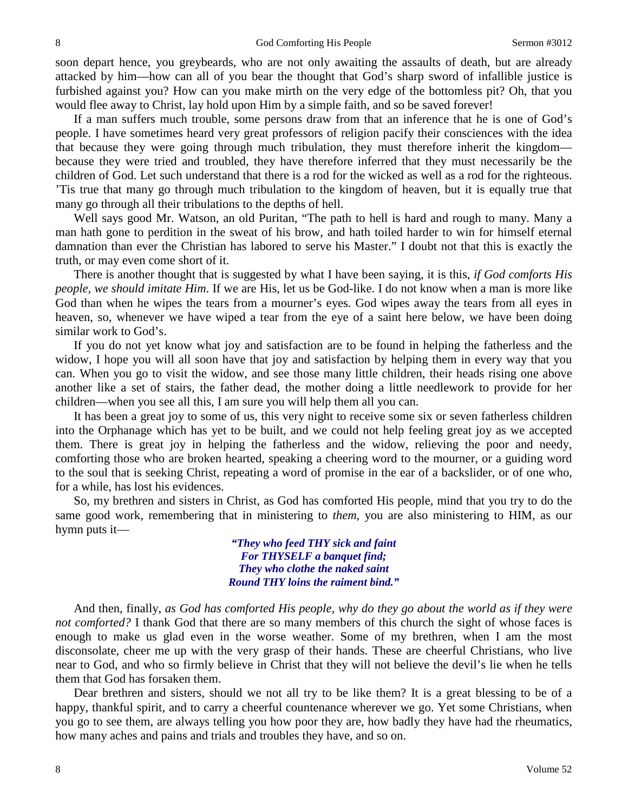soon depart hence, you greybeards, who are not only awaiting the assaults of death, but are already attacked by him—how can all of you bear the thought that God's sharp sword of infallible justice is furbished against you? How can you make mirth on the very edge of the bottomless pit? Oh, that you would flee away to Christ, lay hold upon Him by a simple faith, and so be saved forever!

If a man suffers much trouble, some persons draw from that an inference that he is one of God's people. I have sometimes heard very great professors of religion pacify their consciences with the idea that because they were going through much tribulation, they must therefore inherit the kingdom because they were tried and troubled, they have therefore inferred that they must necessarily be the children of God. Let such understand that there is a rod for the wicked as well as a rod for the righteous. 'Tis true that many go through much tribulation to the kingdom of heaven, but it is equally true that many go through all their tribulations to the depths of hell.

Well says good Mr. Watson, an old Puritan, "The path to hell is hard and rough to many. Many a man hath gone to perdition in the sweat of his brow, and hath toiled harder to win for himself eternal damnation than ever the Christian has labored to serve his Master." I doubt not that this is exactly the truth, or may even come short of it.

There is another thought that is suggested by what I have been saying, it is this, *if God comforts His people, we should imitate Him*. If we are His, let us be God-like. I do not know when a man is more like God than when he wipes the tears from a mourner's eyes. God wipes away the tears from all eyes in heaven, so, whenever we have wiped a tear from the eye of a saint here below, we have been doing similar work to God's.

If you do not yet know what joy and satisfaction are to be found in helping the fatherless and the widow, I hope you will all soon have that joy and satisfaction by helping them in every way that you can. When you go to visit the widow, and see those many little children, their heads rising one above another like a set of stairs, the father dead, the mother doing a little needlework to provide for her children—when you see all this, I am sure you will help them all you can.

It has been a great joy to some of us, this very night to receive some six or seven fatherless children into the Orphanage which has yet to be built, and we could not help feeling great joy as we accepted them. There is great joy in helping the fatherless and the widow, relieving the poor and needy, comforting those who are broken hearted, speaking a cheering word to the mourner, or a guiding word to the soul that is seeking Christ, repeating a word of promise in the ear of a backslider, or of one who, for a while, has lost his evidences.

So, my brethren and sisters in Christ, as God has comforted His people, mind that you try to do the same good work, remembering that in ministering to *them,* you are also ministering to HIM, as our hymn puts it—

> *"They who feed THY sick and faint For THYSELF a banquet find; They who clothe the naked saint Round THY loins the raiment bind."*

And then, finally, *as God has comforted His people, why do they go about the world as if they were not comforted?* I thank God that there are so many members of this church the sight of whose faces is enough to make us glad even in the worse weather. Some of my brethren, when I am the most disconsolate, cheer me up with the very grasp of their hands. These are cheerful Christians, who live near to God, and who so firmly believe in Christ that they will not believe the devil's lie when he tells them that God has forsaken them.

Dear brethren and sisters, should we not all try to be like them? It is a great blessing to be of a happy, thankful spirit, and to carry a cheerful countenance wherever we go. Yet some Christians, when you go to see them, are always telling you how poor they are, how badly they have had the rheumatics, how many aches and pains and trials and troubles they have, and so on.